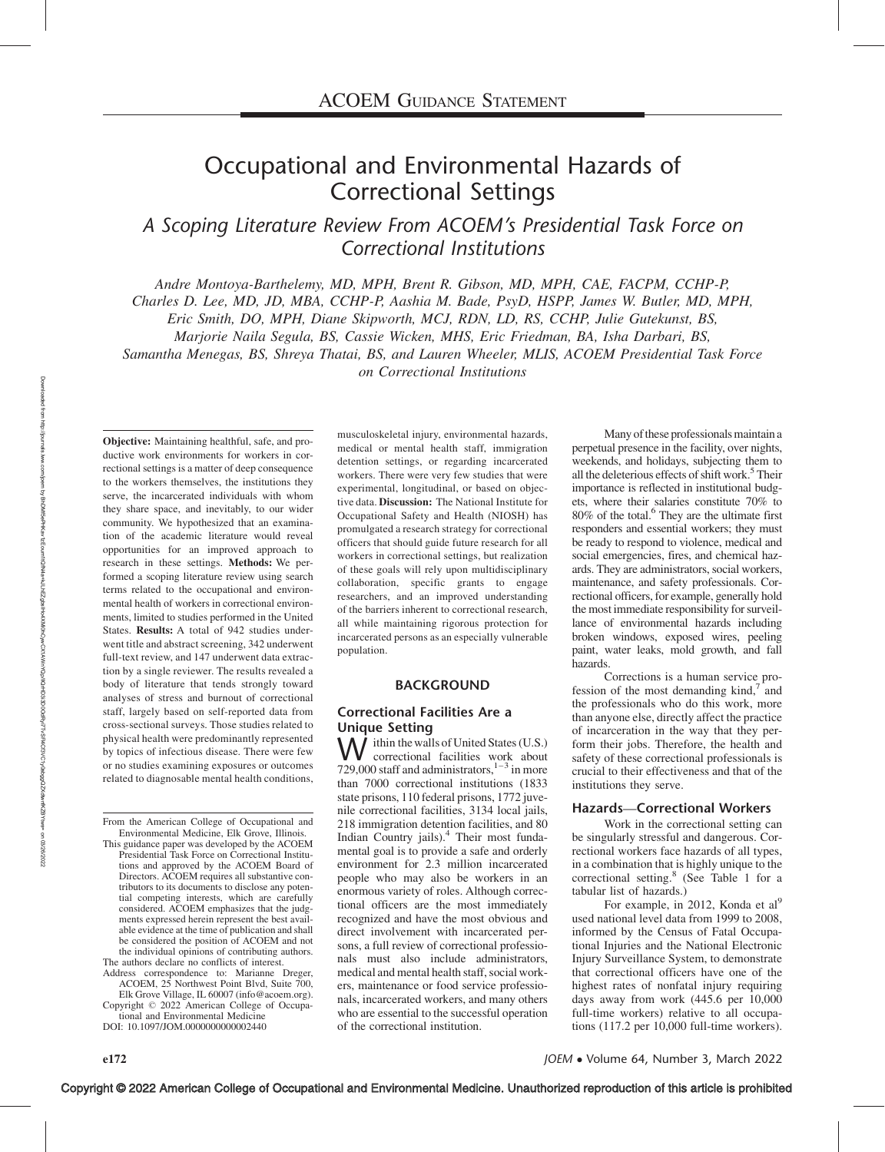# Occupational and Environmental Hazards of Correctional Settings

A Scoping Literature Review From ACOEM's Presidential Task Force on Correctional Institutions

Andre Montoya-Barthelemy, MD, MPH, Brent R. Gibson, MD, MPH, CAE, FACPM, CCHP-P, Charles D. Lee, MD, JD, MBA, CCHP-P, Aashia M. Bade, PsyD, HSPP, James W. Butler, MD, MPH, Eric Smith, DO, MPH, Diane Skipworth, MCJ, RDN, LD, RS, CCHP, Julie Gutekunst, BS, Marjorie Naila Segula, BS, Cassie Wicken, MHS, Eric Friedman, BA, Isha Darbari, BS, Samantha Menegas, BS, Shreya Thatai, BS, and Lauren Wheeler, MLIS, ACOEM Presidential Task Force on Correctional Institutions

Objective: Maintaining healthful, safe, and productive work environments for workers in correctional settings is a matter of deep consequence to the workers themselves, the institutions they serve, the incarcerated individuals with whom they share space, and inevitably, to our wider community. We hypothesized that an examination of the academic literature would reveal opportunities for an improved approach to research in these settings. Methods: We performed a scoping literature review using search terms related to the occupational and environmental health of workers in correctional environments, limited to studies performed in the United States. Results: A total of 942 studies underwent title and abstract screening, 342 underwent full-text review, and 147 underwent data extraction by a single reviewer. The results revealed a body of literature that tends strongly toward analyses of stress and burnout of correctional staff, largely based on self-reported data from cross-sectional surveys. Those studies related to physical health were predominantly represented by topics of infectious disease. There were few or no studies examining exposures or outcomes related to diagnosable mental health conditions,

From the American College of Occupational and Environmental Medicine, Elk Grove, Illinois.

This guidance paper was developed by the ACOEM Presidential Task Force on Correctional Institutions and approved by the ACOEM Board of Directors. ACOEM requires all substantive contributors to its documents to disclose any potential competing interests, which are carefully considered. ACOEM emphasizes that the judgments expressed herein represent the best available evidence at the time of publication and shall be considered the position of ACOEM and not the individual opinions of contributing authors. The authors declare no conflicts of interest.

Address correspondence to: Marianne Dreger, ACOEM, 25 Northwest Point Blvd, Suite 700,

Elk Grove Village, IL 60007 (info@acoem.org). Copyright © 2022 American College of Occupational and Environmental Medicine

DOI: 10.1097/JOM.0000000000002440

musculoskeletal injury, environmental hazards, medical or mental health staff, immigration detention settings, or regarding incarcerated workers. There were very few studies that were experimental, longitudinal, or based on objective data. Discussion: The National Institute for Occupational Safety and Health (NIOSH) has promulgated a research strategy for correctional officers that should guide future research for all workers in correctional settings, but realization of these goals will rely upon multidisciplinary collaboration, specific grants to engage researchers, and an improved understanding of the barriers inherent to correctional research, all while maintaining rigorous protection for incarcerated persons as an especially vulnerable population.

# BACKGROUND

# Correctional Facilities Are a

**Unique Setting**<br>*A*  $\prime$  *ithin the walls of United States (U.S.)*  $\bigvee$  ithin the walls of United States (U.S.)<br>correctional facilities work about 729,000 staff and administrators, $1-3$  in more than 7000 correctional institutions (1833 state prisons, 110 federal prisons, 1772 juvenile correctional facilities, 3134 local jails, 218 immigration detention facilities, and 80 Indian Country jails).4 Their most fundamental goal is to provide a safe and orderly environment for 2.3 million incarcerated people who may also be workers in an enormous variety of roles. Although correctional officers are the most immediately recognized and have the most obvious and direct involvement with incarcerated persons, a full review of correctional professionals must also include administrators, medical and mental health staff, social workers, maintenance or food service professionals, incarcerated workers, and many others who are essential to the successful operation of the correctional institution.

Many of these professionals maintain a perpetual presence in the facility, over nights, weekends, and holidays, subjecting them to all the deleterious effects of shift work.<sup>5</sup> Their importance is reflected in institutional budgets, where their salaries constitute 70% to  $80\%$  of the total.<sup>6</sup> They are the ultimate first responders and essential workers; they must be ready to respond to violence, medical and social emergencies, fires, and chemical hazards. They are administrators, social workers, maintenance, and safety professionals. Correctional officers, for example, generally hold the most immediate responsibility for surveillance of environmental hazards including broken windows, exposed wires, peeling paint, water leaks, mold growth, and fall hazards.

Corrections is a human service profession of the most demanding  $\text{kind},^7$  and the professionals who do this work, more than anyone else, directly affect the practice of incarceration in the way that they perform their jobs. Therefore, the health and safety of these correctional professionals is crucial to their effectiveness and that of the institutions they serve.

#### Hazards—Correctional Workers

Work in the correctional setting can be singularly stressful and dangerous. Correctional workers face hazards of all types, in a combination that is highly unique to the correctional setting.<sup>8</sup> (See Table 1 for a tabular list of hazards.)

For example, in 2012, Konda et al<sup>9</sup> used national level data from 1999 to 2008, informed by the Census of Fatal Occupational Injuries and the National Electronic Injury Surveillance System, to demonstrate that correctional officers have one of the highest rates of nonfatal injury requiring days away from work (445.6 per 10,000 full-time workers) relative to all occupations (117.2 per 10,000 full-time workers).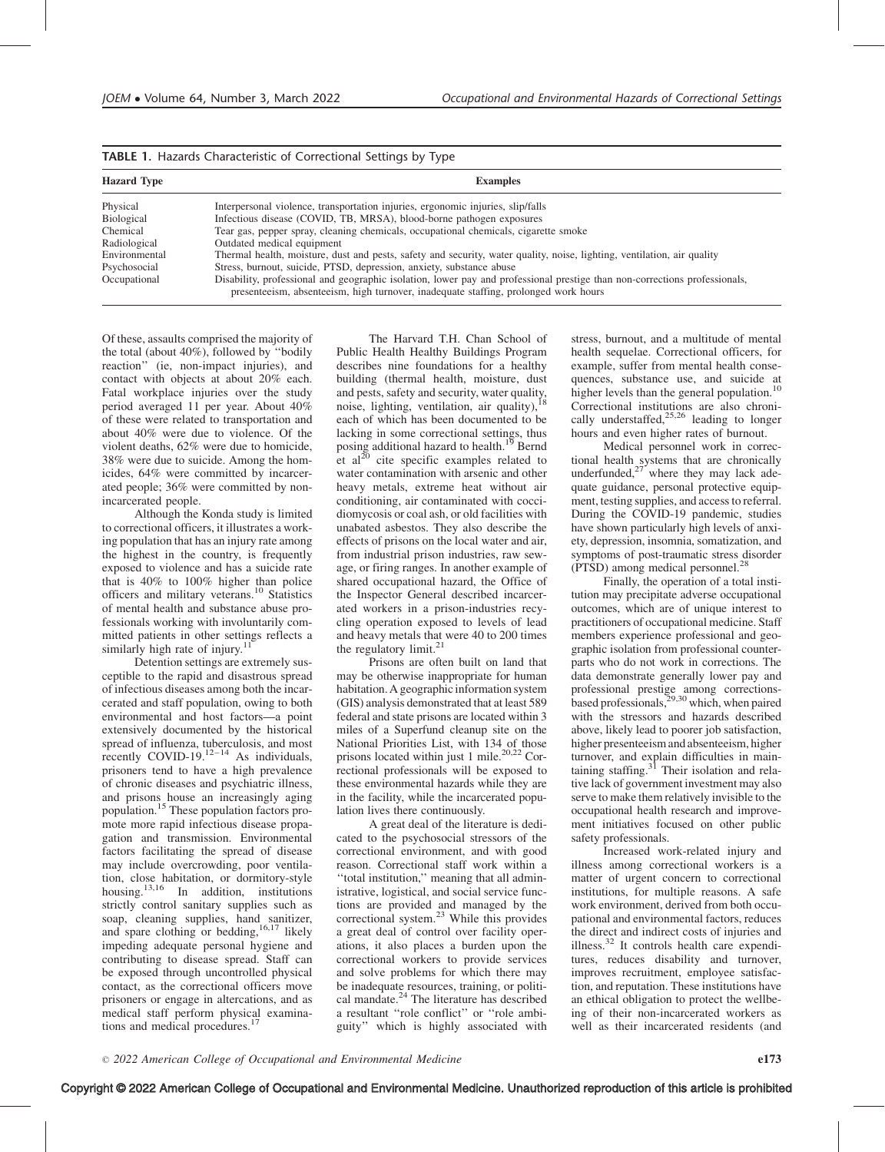| <b>TABLE 1.</b> Hazards Characteristic of Correctional Settings by Type |  |  |
|-------------------------------------------------------------------------|--|--|
|-------------------------------------------------------------------------|--|--|

| <b>Hazard Type</b> | <b>Examples</b>                                                                                                                                                                                                   |
|--------------------|-------------------------------------------------------------------------------------------------------------------------------------------------------------------------------------------------------------------|
| Physical           | Interpersonal violence, transportation injuries, ergonomic injuries, slip/falls                                                                                                                                   |
| Biological         | Infectious disease (COVID, TB, MRSA), blood-borne pathogen exposures                                                                                                                                              |
| Chemical           | Tear gas, pepper spray, cleaning chemicals, occupational chemicals, cigarette smoke                                                                                                                               |
| Radiological       | Outdated medical equipment                                                                                                                                                                                        |
| Environmental      | Thermal health, moisture, dust and pests, safety and security, water quality, noise, lighting, ventilation, air quality                                                                                           |
| Psychosocial       | Stress, burnout, suicide, PTSD, depression, anxiety, substance abuse                                                                                                                                              |
| Occupational       | Disability, professional and geographic isolation, lower pay and professional prestige than non-corrections professionals,<br>presenteeism, absenteeism, high turnover, inadequate staffing, prolonged work hours |

Of these, assaults comprised the majority of the total (about 40%), followed by ''bodily reaction'' (ie, non-impact injuries), and contact with objects at about 20% each. Fatal workplace injuries over the study period averaged 11 per year. About 40% of these were related to transportation and about 40% were due to violence. Of the violent deaths, 62% were due to homicide, 38% were due to suicide. Among the homicides, 64% were committed by incarcerated people; 36% were committed by nonincarcerated people.

Although the Konda study is limited to correctional officers, it illustrates a working population that has an injury rate among the highest in the country, is frequently exposed to violence and has a suicide rate that is 40% to 100% higher than police officers and military veterans.<sup>10</sup> Statistics of mental health and substance abuse professionals working with involuntarily committed patients in other settings reflects a similarly high rate of injury.<sup>1</sup>

Detention settings are extremely susceptible to the rapid and disastrous spread of infectious diseases among both the incarcerated and staff population, owing to both environmental and host factors—a point extensively documented by the historical spread of influenza, tuberculosis, and most<br>recently COVID-19.<sup>12–14</sup> As individuals, prisoners tend to have a high prevalence of chronic diseases and psychiatric illness, and prisons house an increasingly aging population.15 These population factors promote more rapid infectious disease propagation and transmission. Environmental factors facilitating the spread of disease may include overcrowding, poor ventilation, close habitation, or dormitory-style housing.<sup>13,16</sup> In addition, institutions strictly control sanitary supplies such as soap, cleaning supplies, hand sanitizer, and spare clothing or bedding,  $16,17$  likely impeding adequate personal hygiene and contributing to disease spread. Staff can be exposed through uncontrolled physical contact, as the correctional officers move prisoners or engage in altercations, and as medical staff perform physical examinations and medical procedures.

The Harvard T.H. Chan School of Public Health Healthy Buildings Program describes nine foundations for a healthy building (thermal health, moisture, dust bunding (distributed and pests, safety and security, water quality, noise, lighting, ventilation, air quality), each of which has been documented to be lacking in some correctional settings, thus posing additional hazard to health.<sup>19</sup> Bernd et al<sup>20</sup> cite specific examples related to water contamination with arsenic and other heavy metals, extreme heat without air conditioning, air contaminated with coccidiomycosis or coal ash, or old facilities with unabated asbestos. They also describe the effects of prisons on the local water and air, from industrial prison industries, raw sewage, or firing ranges. In another example of shared occupational hazard, the Office of the Inspector General described incarcerated workers in a prison-industries recycling operation exposed to levels of lead and heavy metals that were 40 to 200 times the regulatory limit.<sup>21</sup>

Prisons are often built on land that may be otherwise inappropriate for human habitation. A geographic information system (GIS) analysis demonstrated that at least 589 federal and state prisons are located within 3 miles of a Superfund cleanup site on the National Priorities List, with 134 of those prisons located within just 1 mile.<sup>20,22</sup> Correctional professionals will be exposed to these environmental hazards while they are in the facility, while the incarcerated population lives there continuously.

A great deal of the literature is dedicated to the psychosocial stressors of the correctional environment, and with good reason. Correctional staff work within a ''total institution,'' meaning that all administrative, logistical, and social service functions are provided and managed by the correctional system. $^{23}$  While this provides a great deal of control over facility operations, it also places a burden upon the correctional workers to provide services and solve problems for which there may be inadequate resources, training, or political mandate. $^{24}$  The literature has described a resultant ''role conflict'' or ''role ambiguity'' which is highly associated with stress, burnout, and a multitude of mental health sequelae. Correctional officers, for example, suffer from mental health consequences, substance use, and suicide at higher levels than the general population.<sup>10</sup> Correctional institutions are also chronically understaffed,  $25,26$  leading to longer hours and even higher rates of burnout.

Medical personnel work in correctional health systems that are chronically underfunded, $27$  where they may lack adequate guidance, personal protective equipment, testing supplies, and access to referral. During the COVID-19 pandemic, studies have shown particularly high levels of anxiety, depression, insomnia, somatization, and symptoms of post-traumatic stress disorder (PTSD) among medical personnel.<sup>28</sup>

Finally, the operation of a total institution may precipitate adverse occupational outcomes, which are of unique interest to practitioners of occupational medicine. Staff members experience professional and geographic isolation from professional counterparts who do not work in corrections. The data demonstrate generally lower pay and professional prestige among corrections-<br>based professionals,<sup>29,30</sup> which, when paired with the stressors and hazards described above, likely lead to poorer job satisfaction, higher presenteeism and absenteeism, higher turnover, and explain difficulties in maintaining staffing.<sup>31</sup> Their isolation and relative lack of government investment may also serve to make them relatively invisible to the occupational health research and improvement initiatives focused on other public safety professionals.

Increased work-related injury and illness among correctional workers is a matter of urgent concern to correctional institutions, for multiple reasons. A safe work environment, derived from both occupational and environmental factors, reduces the direct and indirect costs of injuries and illness.<sup>32</sup> It controls health care expenditures, reduces disability and turnover, improves recruitment, employee satisfaction, and reputation. These institutions have an ethical obligation to protect the wellbeing of their non-incarcerated workers as well as their incarcerated residents (and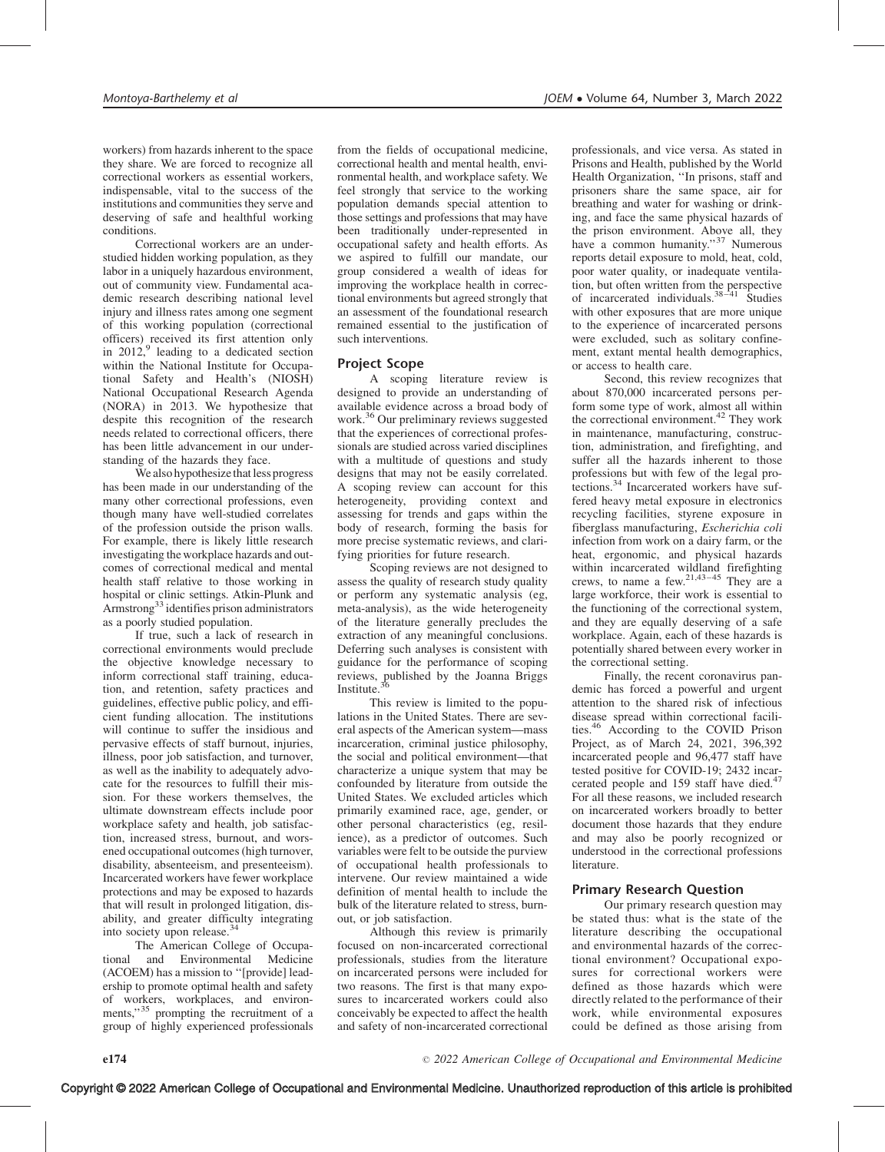workers) from hazards inherent to the space they share. We are forced to recognize all correctional workers as essential workers, indispensable, vital to the success of the institutions and communities they serve and deserving of safe and healthful working conditions.

Correctional workers are an understudied hidden working population, as they labor in a uniquely hazardous environment, out of community view. Fundamental academic research describing national level injury and illness rates among one segment of this working population (correctional officers) received its first attention only in  $2012$ , leading to a dedicated section within the National Institute for Occupational Safety and Health's (NIOSH) National Occupational Research Agenda (NORA) in 2013. We hypothesize that despite this recognition of the research needs related to correctional officers, there has been little advancement in our understanding of the hazards they face.

We also hypothesize that less progress has been made in our understanding of the many other correctional professions, even though many have well-studied correlates of the profession outside the prison walls. For example, there is likely little research investigating the workplace hazards and outcomes of correctional medical and mental health staff relative to those working in hospital or clinic settings. Atkin-Plunk and Armstrong33 identifies prison administrators as a poorly studied population.

If true, such a lack of research in correctional environments would preclude the objective knowledge necessary to inform correctional staff training, education, and retention, safety practices and guidelines, effective public policy, and efficient funding allocation. The institutions will continue to suffer the insidious and pervasive effects of staff burnout, injuries, illness, poor job satisfaction, and turnover, as well as the inability to adequately advocate for the resources to fulfill their mission. For these workers themselves, the ultimate downstream effects include poor workplace safety and health, job satisfaction, increased stress, burnout, and worsened occupational outcomes (high turnover, disability, absenteeism, and presenteeism). Incarcerated workers have fewer workplace protections and may be exposed to hazards that will result in prolonged litigation, disability, and greater difficulty integrating into society upon release.<sup>34</sup>

The American College of Occupational and Environmental Medicine (ACOEM) has a mission to ''[provide] leadership to promote optimal health and safety of workers, workplaces, and environments," $35$  prompting the recruitment of a group of highly experienced professionals from the fields of occupational medicine, correctional health and mental health, environmental health, and workplace safety. We feel strongly that service to the working population demands special attention to those settings and professions that may have been traditionally under-represented in occupational safety and health efforts. As we aspired to fulfill our mandate, our group considered a wealth of ideas for improving the workplace health in correctional environments but agreed strongly that an assessment of the foundational research remained essential to the justification of such interventions.

#### Project Scope

A scoping literature review is designed to provide an understanding of available evidence across a broad body of work.<sup>36</sup> Our preliminary reviews suggested that the experiences of correctional professionals are studied across varied disciplines with a multitude of questions and study designs that may not be easily correlated. A scoping review can account for this heterogeneity, providing context and assessing for trends and gaps within the body of research, forming the basis for more precise systematic reviews, and clarifying priorities for future research.

Scoping reviews are not designed to assess the quality of research study quality or perform any systematic analysis (eg, meta-analysis), as the wide heterogeneity of the literature generally precludes the extraction of any meaningful conclusions. Deferring such analyses is consistent with guidance for the performance of scoping reviews, published by the Joanna Briggs Institute.

This review is limited to the populations in the United States. There are several aspects of the American system—mass incarceration, criminal justice philosophy, the social and political environment—that characterize a unique system that may be confounded by literature from outside the United States. We excluded articles which primarily examined race, age, gender, or other personal characteristics (eg, resilience), as a predictor of outcomes. Such variables were felt to be outside the purview of occupational health professionals to intervene. Our review maintained a wide definition of mental health to include the bulk of the literature related to stress, burnout, or job satisfaction.

Although this review is primarily focused on non-incarcerated correctional professionals, studies from the literature on incarcerated persons were included for two reasons. The first is that many exposures to incarcerated workers could also conceivably be expected to affect the health and safety of non-incarcerated correctional professionals, and vice versa. As stated in Prisons and Health, published by the World Health Organization, ''In prisons, staff and prisoners share the same space, air for breathing and water for washing or drinking, and face the same physical hazards of the prison environment. Above all, they have a common humanity."<sup>37</sup> Numerous reports detail exposure to mold, heat, cold, poor water quality, or inadequate ventilation, but often written from the perspective of incarcerated individuals. $38-41$  Studies with other exposures that are more unique to the experience of incarcerated persons were excluded, such as solitary confinement, extant mental health demographics, or access to health care.

Second, this review recognizes that about 870,000 incarcerated persons perform some type of work, almost all within the correctional environment.<sup>42</sup> They work in maintenance, manufacturing, construction, administration, and firefighting, and suffer all the hazards inherent to those professions but with few of the legal protections.<sup>34</sup> Incarcerated workers have suffered heavy metal exposure in electronics recycling facilities, styrene exposure in fiberglass manufacturing, Escherichia coli infection from work on a dairy farm, or the heat, ergonomic, and physical hazards within incarcerated wildland firefighting crews, to name a few.<sup>21,43-45</sup> They are a large workforce, their work is essential to the functioning of the correctional system, and they are equally deserving of a safe workplace. Again, each of these hazards is potentially shared between every worker in the correctional setting.

Finally, the recent coronavirus pandemic has forced a powerful and urgent attention to the shared risk of infectious disease spread within correctional facilities.46 According to the COVID Prison Project, as of March 24, 2021, 396,392 incarcerated people and 96,477 staff have tested positive for COVID-19; 2432 incarcerated people and 159 staff have died.<sup>47</sup> For all these reasons, we included research on incarcerated workers broadly to better document those hazards that they endure and may also be poorly recognized or understood in the correctional professions literature.

#### Primary Research Question

Our primary research question may be stated thus: what is the state of the literature describing the occupational and environmental hazards of the correctional environment? Occupational exposures for correctional workers were defined as those hazards which were directly related to the performance of their work, while environmental exposures could be defined as those arising from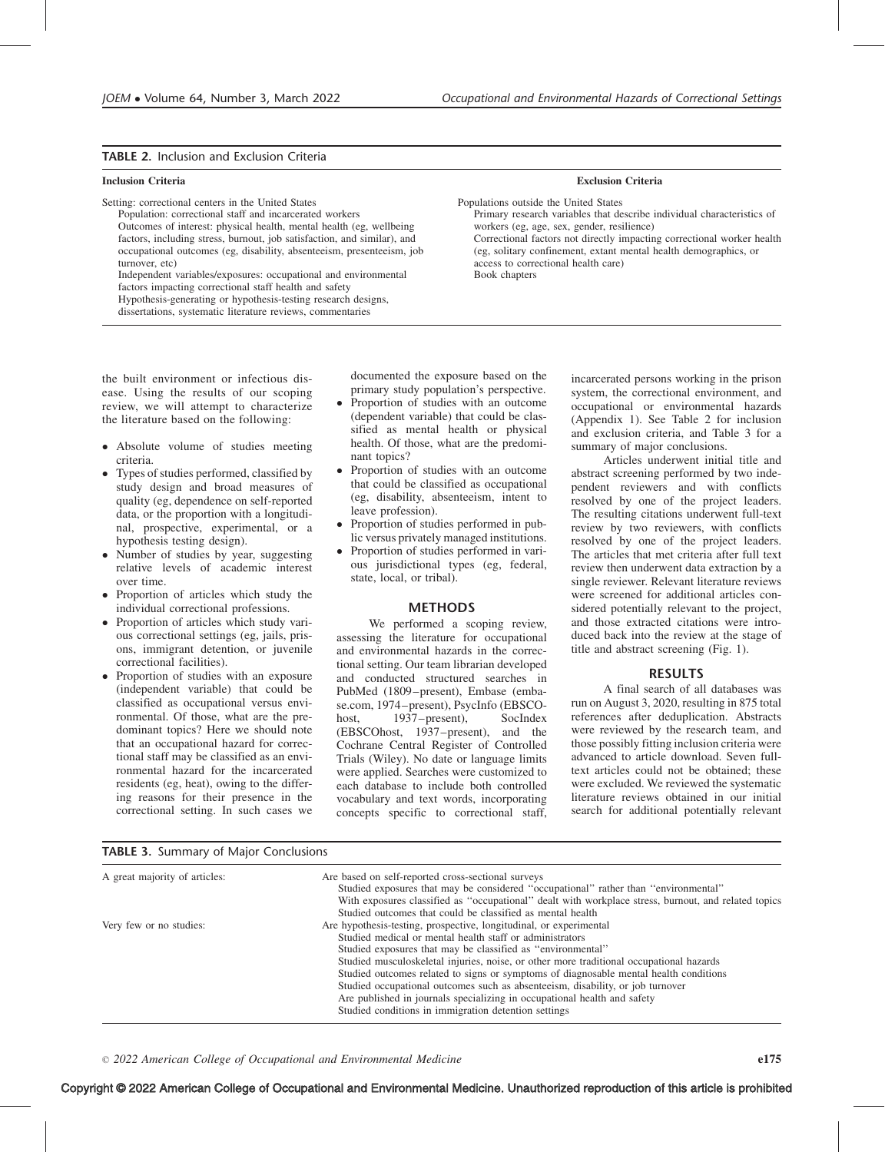#### TABLE 2. Inclusion and Exclusion Criteria

Setting: correctional centers in the United States

Population: correctional staff and incarcerated workers Outcomes of interest: physical health, mental health (eg, wellbeing factors, including stress, burnout, job satisfaction, and similar), and occupational outcomes (eg, disability, absenteeism, presenteeism, job turnover, etc)

Independent variables/exposures: occupational and environmental factors impacting correctional staff health and safety Hypothesis-generating or hypothesis-testing research designs,

dissertations, systematic literature reviews, commentaries

### Inclusion Criteria Exclusion Criteria

Populations outside the United States Primary research variables that describe individual characteristics of workers (eg, age, sex, gender, resilience) Correctional factors not directly impacting correctional worker health (eg, solitary confinement, extant mental health demographics, or access to correctional health care) Book chapters

the built environment or infectious disease. Using the results of our scoping review, we will attempt to characterize the literature based on the following:

- Absolute volume of studies meeting criteria.
- Types of studies performed, classified by study design and broad measures of quality (eg, dependence on self-reported data, or the proportion with a longitudinal, prospective, experimental, or a hypothesis testing design).
- Number of studies by year, suggesting relative levels of academic interest over time.
- Proportion of articles which study the individual correctional professions.
- Proportion of articles which study various correctional settings (eg, jails, prisons, immigrant detention, or juvenile correctional facilities).
- Proportion of studies with an exposure (independent variable) that could be classified as occupational versus environmental. Of those, what are the predominant topics? Here we should note that an occupational hazard for correctional staff may be classified as an environmental hazard for the incarcerated residents (eg, heat), owing to the differing reasons for their presence in the correctional setting. In such cases we

TABLE 3. Summary of Major Conclusions

documented the exposure based on the primary study population's perspective.

- - Proportion of studies with an outcome (dependent variable) that could be classified as mental health or physical health. Of those, what are the predominant topics?
- $\bullet$  Proportion of studies with an outcome that could be classified as occupational (eg, disability, absenteeism, intent to leave profession).
- Proportion of studies performed in public versus privately managed institutions.
- - Proportion of studies performed in various jurisdictional types (eg, federal, state, local, or tribal).

#### **METHODS**

We performed a scoping review, assessing the literature for occupational and environmental hazards in the correctional setting. Our team librarian developed and conducted structured searches in PubMed (1809–present), Embase (embase.com, 1974–present), PsycInfo (EBSCO-<br>host. 1937–present). SocIndex host,  $1937$ –present), (EBSCOhost, 1937–present), and the Cochrane Central Register of Controlled Trials (Wiley). No date or language limits were applied. Searches were customized to each database to include both controlled vocabulary and text words, incorporating concepts specific to correctional staff, incarcerated persons working in the prison system, the correctional environment, and occupational or environmental hazards (Appendix 1). See Table 2 for inclusion and exclusion criteria, and Table 3 for a summary of major conclusions.

Articles underwent initial title and abstract screening performed by two independent reviewers and with conflicts resolved by one of the project leaders. The resulting citations underwent full-text review by two reviewers, with conflicts resolved by one of the project leaders. The articles that met criteria after full text review then underwent data extraction by a single reviewer. Relevant literature reviews were screened for additional articles considered potentially relevant to the project, and those extracted citations were introduced back into the review at the stage of title and abstract screening (Fig. 1).

#### RESULTS

A final search of all databases was run on August 3, 2020, resulting in 875 total references after deduplication. Abstracts were reviewed by the research team, and those possibly fitting inclusion criteria were advanced to article download. Seven fulltext articles could not be obtained; these were excluded. We reviewed the systematic literature reviews obtained in our initial search for additional potentially relevant

| A great majority of articles: | Are based on self-reported cross-sectional surveys<br>Studied exposures that may be considered "occupational" rather than "environmental"<br>With exposures classified as "occupational" dealt with workplace stress, burnout, and related topics<br>Studied outcomes that could be classified as mental health                                                                                                                                                                                                                                                                                         |
|-------------------------------|---------------------------------------------------------------------------------------------------------------------------------------------------------------------------------------------------------------------------------------------------------------------------------------------------------------------------------------------------------------------------------------------------------------------------------------------------------------------------------------------------------------------------------------------------------------------------------------------------------|
| Very few or no studies:       | Are hypothesis-testing, prospective, longitudinal, or experimental<br>Studied medical or mental health staff or administrators<br>Studied exposures that may be classified as "environmental"<br>Studied musculoskeletal injuries, noise, or other more traditional occupational hazards<br>Studied outcomes related to signs or symptoms of diagnosable mental health conditions<br>Studied occupational outcomes such as absenteeism, disability, or job turnover<br>Are published in journals specializing in occupational health and safety<br>Studied conditions in immigration detention settings |

 $\degree$  2022 American College of Occupational and Environmental Medicine e175

# Copyright © 2022 American College of Occupational and Environmental Medicine. Unauthorized reproduction of this article is prohibited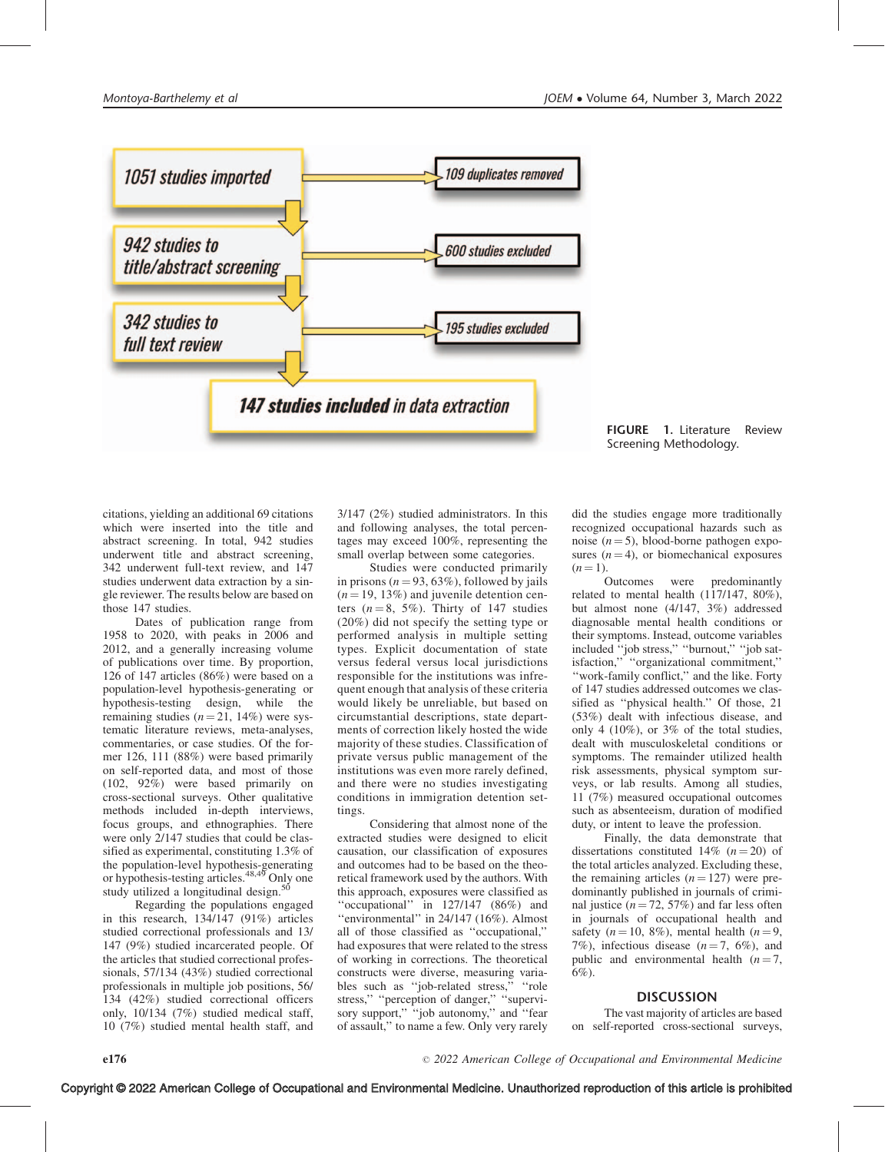

FIGURE 1. Literature Review Screening Methodology.

citations, yielding an additional 69 citations which were inserted into the title and abstract screening. In total, 942 studies underwent title and abstract screening, 342 underwent full-text review, and 147 studies underwent data extraction by a single reviewer. The results below are based on those 147 studies.

Dates of publication range from 1958 to 2020, with peaks in 2006 and 2012, and a generally increasing volume of publications over time. By proportion, 126 of 147 articles (86%) were based on a population-level hypothesis-generating or hypothesis-testing design, while the remaining studies  $(n = 21, 14\%)$  were systematic literature reviews, meta-analyses, commentaries, or case studies. Of the former 126, 111 (88%) were based primarily on self-reported data, and most of those (102, 92%) were based primarily on cross-sectional surveys. Other qualitative methods included in-depth interviews, focus groups, and ethnographies. There were only 2/147 studies that could be classified as experimental, constituting 1.3% of the population-level hypothesis-generating or hypothesis-testing articles.48,49 Only one study utilized a longitudinal design.<sup>50</sup>

Regarding the populations engaged in this research, 134/147 (91%) articles studied correctional professionals and 13/ 147 (9%) studied incarcerated people. Of the articles that studied correctional professionals, 57/134 (43%) studied correctional professionals in multiple job positions, 56/ 134 (42%) studied correctional officers only, 10/134 (7%) studied medical staff, 10 (7%) studied mental health staff, and

e176  $\degree$ 

3/147 (2%) studied administrators. In this and following analyses, the total percentages may exceed 100%, representing the small overlap between some categories.

Studies were conducted primarily in prisons ( $n = 93, 63\%$ ), followed by jails  $(n = 19, 13\%)$  and juvenile detention centers  $(n = 8, 5\%)$ . Thirty of 147 studies (20%) did not specify the setting type or performed analysis in multiple setting types. Explicit documentation of state versus federal versus local jurisdictions responsible for the institutions was infrequent enough that analysis of these criteria would likely be unreliable, but based on circumstantial descriptions, state departments of correction likely hosted the wide majority of these studies. Classification of private versus public management of the institutions was even more rarely defined, and there were no studies investigating conditions in immigration detention settings.

Considering that almost none of the extracted studies were designed to elicit causation, our classification of exposures and outcomes had to be based on the theoretical framework used by the authors. With this approach, exposures were classified as "occupational" in 127/147 (86%) and ''environmental'' in 24/147 (16%). Almost all of those classified as ''occupational,'' had exposures that were related to the stress of working in corrections. The theoretical constructs were diverse, measuring variables such as ''job-related stress,'' ''role stress,'' ''perception of danger,'' ''supervisory support," "job autonomy," and "fear of assault,'' to name a few. Only very rarely

did the studies engage more traditionally recognized occupational hazards such as noise  $(n = 5)$ , blood-borne pathogen exposures  $(n = 4)$ , or biomechanical exposures  $(n = 1)$ .

Outcomes were predominantly related to mental health (117/147, 80%), but almost none (4/147, 3%) addressed diagnosable mental health conditions or their symptoms. Instead, outcome variables included ''job stress,'' ''burnout,'' ''job satisfaction,'' ''organizational commitment,'' ''work-family conflict,'' and the like. Forty of 147 studies addressed outcomes we classified as ''physical health.'' Of those, 21 (53%) dealt with infectious disease, and only 4 (10%), or 3% of the total studies, dealt with musculoskeletal conditions or symptoms. The remainder utilized health risk assessments, physical symptom surveys, or lab results. Among all studies, 11 (7%) measured occupational outcomes such as absenteeism, duration of modified duty, or intent to leave the profession.

Finally, the data demonstrate that dissertations constituted 14%  $(n = 20)$  of the total articles analyzed. Excluding these, the remaining articles  $(n = 127)$  were predominantly published in journals of criminal justice ( $n = 72, 57\%$ ) and far less often in journals of occupational health and safety ( $n = 10, 8\%$ ), mental health ( $n = 9$ , 7%), infectious disease  $(n=7, 6\%)$ , and public and environmental health  $(n = 7,$ 6%).

# **DISCUSSION**

The vast majority of articles are based on self-reported cross-sectional surveys,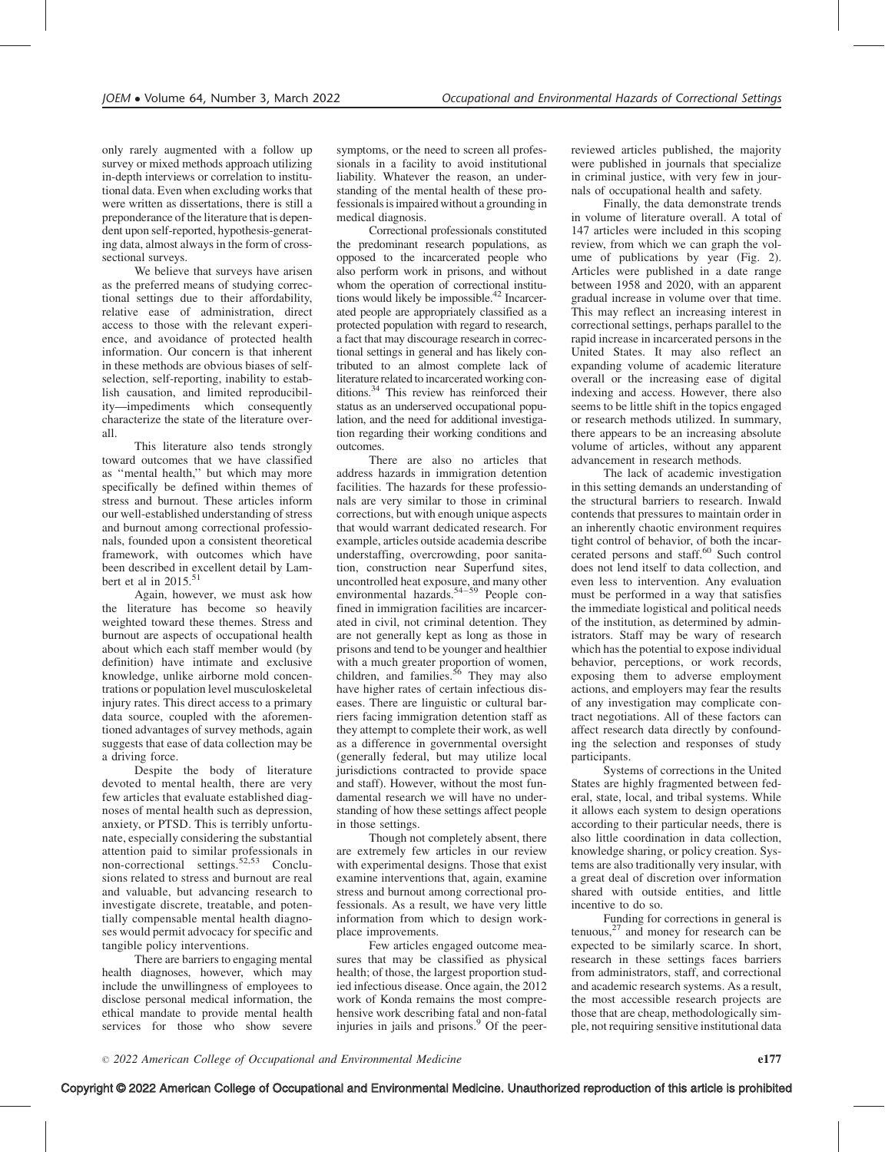only rarely augmented with a follow up survey or mixed methods approach utilizing in-depth interviews or correlation to institutional data. Even when excluding works that were written as dissertations, there is still a preponderance of the literature that is dependent upon self-reported, hypothesis-generating data, almost always in the form of crosssectional surveys.

We believe that surveys have arisen as the preferred means of studying correctional settings due to their affordability, relative ease of administration, direct access to those with the relevant experience, and avoidance of protected health information. Our concern is that inherent in these methods are obvious biases of selfselection, self-reporting, inability to establish causation, and limited reproducibility—impediments which consequently characterize the state of the literature overall.

This literature also tends strongly toward outcomes that we have classified as ''mental health,'' but which may more specifically be defined within themes of stress and burnout. These articles inform our well-established understanding of stress and burnout among correctional professionals, founded upon a consistent theoretical framework, with outcomes which have been described in excellent detail by Lambert et al in  $2015$ .<sup>51</sup>

Again, however, we must ask how the literature has become so heavily weighted toward these themes. Stress and burnout are aspects of occupational health about which each staff member would (by definition) have intimate and exclusive knowledge, unlike airborne mold concentrations or population level musculoskeletal injury rates. This direct access to a primary data source, coupled with the aforementioned advantages of survey methods, again suggests that ease of data collection may be a driving force.

Despite the body of literature devoted to mental health, there are very few articles that evaluate established diagnoses of mental health such as depression, anxiety, or PTSD. This is terribly unfortunate, especially considering the substantial attention paid to similar professionals in non-correctional settings.<sup>52,53</sup> Conclusions related to stress and burnout are real and valuable, but advancing research to investigate discrete, treatable, and potentially compensable mental health diagnoses would permit advocacy for specific and tangible policy interventions.

There are barriers to engaging mental health diagnoses, however, which may include the unwillingness of employees to disclose personal medical information, the ethical mandate to provide mental health services for those who show severe

symptoms, or the need to screen all professionals in a facility to avoid institutional liability. Whatever the reason, an understanding of the mental health of these professionals is impaired without a grounding in medical diagnosis.

Correctional professionals constituted the predominant research populations, as opposed to the incarcerated people who also perform work in prisons, and without whom the operation of correctional institutions would likely be impossible.<sup>42</sup> Incarcerated people are appropriately classified as a protected population with regard to research, a fact that may discourage research in correctional settings in general and has likely contributed to an almost complete lack of literature related to incarcerated working conditions.<sup>34</sup> This review has reinforced their status as an underserved occupational population, and the need for additional investigation regarding their working conditions and outcomes.

There are also no articles that address hazards in immigration detention facilities. The hazards for these professionals are very similar to those in criminal corrections, but with enough unique aspects that would warrant dedicated research. For example, articles outside academia describe understaffing, overcrowding, poor sanitation, construction near Superfund sites, uncontrolled heat exposure, and many other environmental hazards.54–59 People confined in immigration facilities are incarcerated in civil, not criminal detention. They are not generally kept as long as those in prisons and tend to be younger and healthier with a much greater proportion of women,<br>children, and families.<sup>56</sup> They may also have higher rates of certain infectious diseases. There are linguistic or cultural barriers facing immigration detention staff as they attempt to complete their work, as well as a difference in governmental oversight (generally federal, but may utilize local jurisdictions contracted to provide space and staff). However, without the most fundamental research we will have no understanding of how these settings affect people in those settings.

Though not completely absent, there are extremely few articles in our review with experimental designs. Those that exist examine interventions that, again, examine stress and burnout among correctional professionals. As a result, we have very little information from which to design workplace improvements.

Few articles engaged outcome measures that may be classified as physical health; of those, the largest proportion studied infectious disease. Once again, the 2012 work of Konda remains the most comprehensive work describing fatal and non-fatal injuries in jails and prisons.<sup>9</sup> Of the peerreviewed articles published, the majority were published in journals that specialize in criminal justice, with very few in journals of occupational health and safety.

Finally, the data demonstrate trends in volume of literature overall. A total of 147 articles were included in this scoping review, from which we can graph the volume of publications by year (Fig. 2). Articles were published in a date range between 1958 and 2020, with an apparent gradual increase in volume over that time. This may reflect an increasing interest in correctional settings, perhaps parallel to the rapid increase in incarcerated persons in the United States. It may also reflect an expanding volume of academic literature overall or the increasing ease of digital indexing and access. However, there also seems to be little shift in the topics engaged or research methods utilized. In summary, there appears to be an increasing absolute volume of articles, without any apparent advancement in research methods.

The lack of academic investigation in this setting demands an understanding of the structural barriers to research. Inwald contends that pressures to maintain order in an inherently chaotic environment requires tight control of behavior, of both the incarcerated persons and staff.<sup>60</sup> Such control does not lend itself to data collection, and even less to intervention. Any evaluation must be performed in a way that satisfies the immediate logistical and political needs of the institution, as determined by administrators. Staff may be wary of research which has the potential to expose individual behavior, perceptions, or work records, exposing them to adverse employment actions, and employers may fear the results of any investigation may complicate contract negotiations. All of these factors can affect research data directly by confounding the selection and responses of study participants.

Systems of corrections in the United States are highly fragmented between federal, state, local, and tribal systems. While it allows each system to design operations according to their particular needs, there is also little coordination in data collection, knowledge sharing, or policy creation. Systems are also traditionally very insular, with a great deal of discretion over information shared with outside entities, and little incentive to do so.

Funding for corrections in general is tenuous,<sup>27</sup> and money for research can be expected to be similarly scarce. In short, research in these settings faces barriers from administrators, staff, and correctional and academic research systems. As a result, the most accessible research projects are those that are cheap, methodologically simple, not requiring sensitive institutional data

Copyright © 2022 American College of Occupational and Environmental Medicine. Unauthorized reproduction of this article is prohibited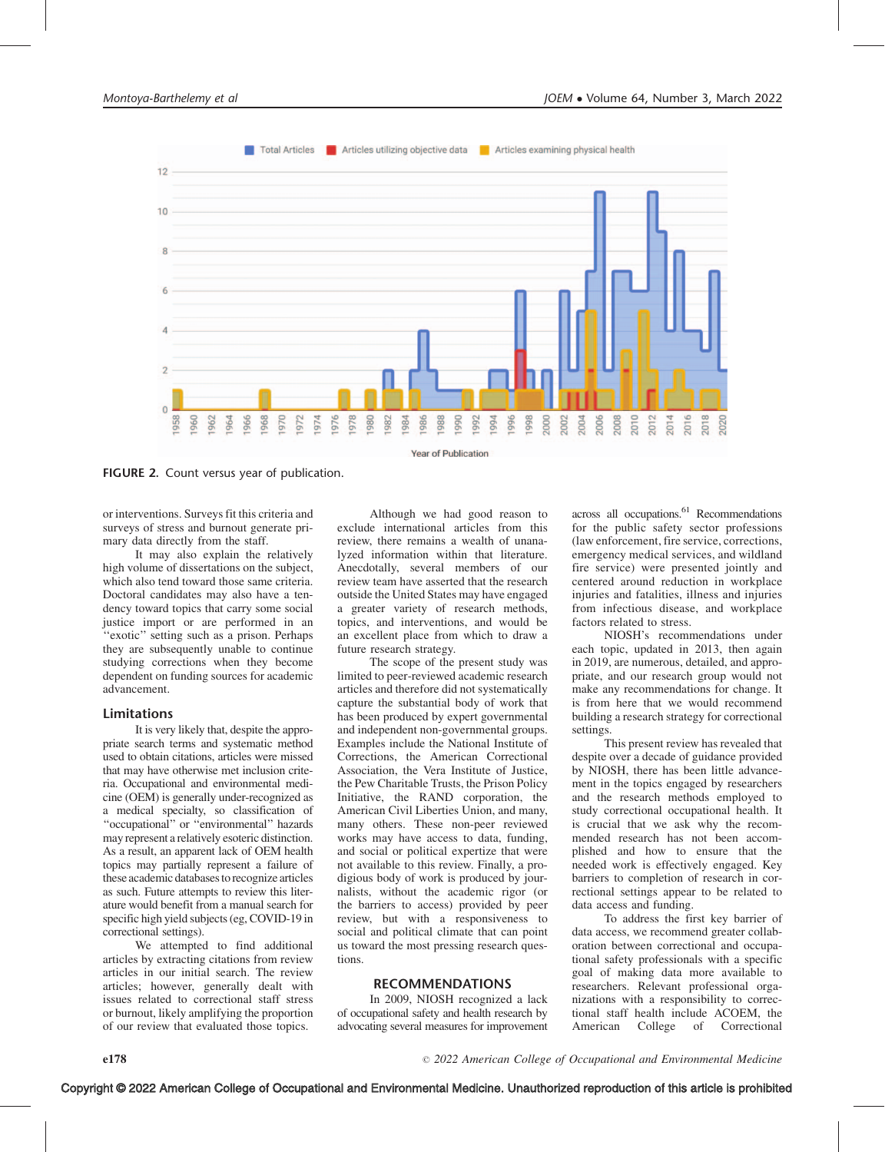

FIGURE 2. Count versus year of publication.

or interventions. Surveys fit this criteria and surveys of stress and burnout generate primary data directly from the staff.

It may also explain the relatively high volume of dissertations on the subject, which also tend toward those same criteria. Doctoral candidates may also have a tendency toward topics that carry some social justice import or are performed in an ''exotic'' setting such as a prison. Perhaps they are subsequently unable to continue studying corrections when they become dependent on funding sources for academic advancement.

#### Limitations

It is very likely that, despite the appropriate search terms and systematic method used to obtain citations, articles were missed that may have otherwise met inclusion criteria. Occupational and environmental medicine (OEM) is generally under-recognized as a medical specialty, so classification of ''occupational'' or ''environmental'' hazards may represent a relatively esoteric distinction. As a result, an apparent lack of OEM health topics may partially represent a failure of these academic databasesto recognize articles as such. Future attempts to review this literature would benefit from a manual search for specific high yield subjects (eg, COVID-19 in correctional settings).

We attempted to find additional articles by extracting citations from review articles in our initial search. The review articles; however, generally dealt with issues related to correctional staff stress or burnout, likely amplifying the proportion of our review that evaluated those topics.

Although we had good reason to exclude international articles from this review, there remains a wealth of unanalyzed information within that literature. Anecdotally, several members of our review team have asserted that the research outside the United States may have engaged a greater variety of research methods, topics, and interventions, and would be an excellent place from which to draw a future research strategy.

The scope of the present study was limited to peer-reviewed academic research articles and therefore did not systematically capture the substantial body of work that has been produced by expert governmental and independent non-governmental groups. Examples include the National Institute of Corrections, the American Correctional Association, the Vera Institute of Justice, the Pew Charitable Trusts, the Prison Policy Initiative, the RAND corporation, the American Civil Liberties Union, and many, many others. These non-peer reviewed works may have access to data, funding, and social or political expertize that were not available to this review. Finally, a prodigious body of work is produced by journalists, without the academic rigor (or the barriers to access) provided by peer review, but with a responsiveness to social and political climate that can point us toward the most pressing research questions.

# RECOMMENDATIONS

In 2009, NIOSH recognized a lack of occupational safety and health research by advocating several measures for improvement across all occupations.<sup>61</sup> Recommendations for the public safety sector professions (law enforcement, fire service, corrections, emergency medical services, and wildland fire service) were presented jointly and centered around reduction in workplace injuries and fatalities, illness and injuries from infectious disease, and workplace factors related to stress.

NIOSH's recommendations under each topic, updated in 2013, then again in 2019, are numerous, detailed, and appropriate, and our research group would not make any recommendations for change. It is from here that we would recommend building a research strategy for correctional settings.

This present review has revealed that despite over a decade of guidance provided by NIOSH, there has been little advancement in the topics engaged by researchers and the research methods employed to study correctional occupational health. It is crucial that we ask why the recommended research has not been accomplished and how to ensure that the needed work is effectively engaged. Key barriers to completion of research in correctional settings appear to be related to data access and funding.

To address the first key barrier of data access, we recommend greater collaboration between correctional and occupational safety professionals with a specific goal of making data more available to researchers. Relevant professional organizations with a responsibility to correctional staff health include ACOEM, the American College of Correctional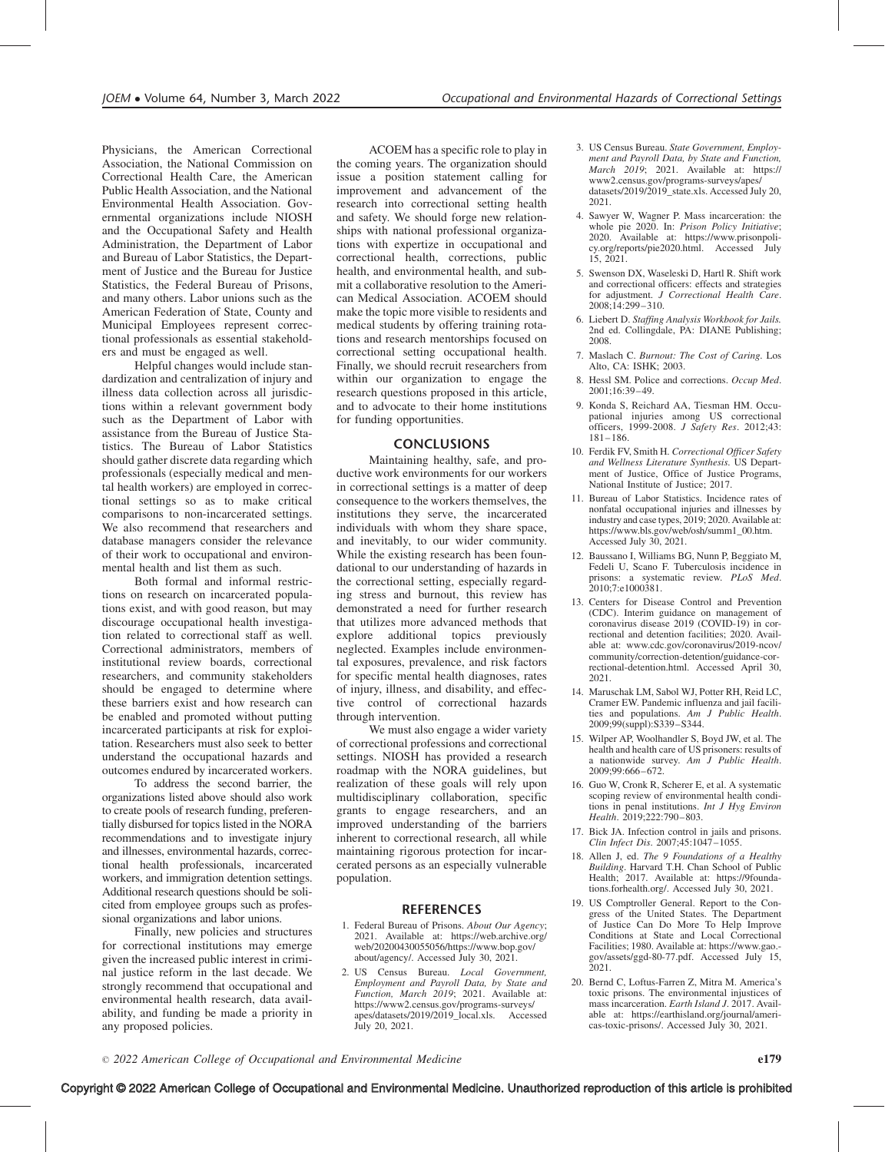Physicians, the American Correctional Association, the National Commission on Correctional Health Care, the American Public Health Association, and the National Environmental Health Association. Governmental organizations include NIOSH and the Occupational Safety and Health Administration, the Department of Labor and Bureau of Labor Statistics, the Department of Justice and the Bureau for Justice Statistics, the Federal Bureau of Prisons, and many others. Labor unions such as the American Federation of State, County and Municipal Employees represent correctional professionals as essential stakeholders and must be engaged as well.

Helpful changes would include standardization and centralization of injury and illness data collection across all jurisdictions within a relevant government body such as the Department of Labor with assistance from the Bureau of Justice Statistics. The Bureau of Labor Statistics should gather discrete data regarding which professionals (especially medical and mental health workers) are employed in correctional settings so as to make critical comparisons to non-incarcerated settings. We also recommend that researchers and database managers consider the relevance of their work to occupational and environmental health and list them as such.

Both formal and informal restrictions on research on incarcerated populations exist, and with good reason, but may discourage occupational health investigation related to correctional staff as well. Correctional administrators, members of institutional review boards, correctional researchers, and community stakeholders should be engaged to determine where these barriers exist and how research can be enabled and promoted without putting incarcerated participants at risk for exploitation. Researchers must also seek to better understand the occupational hazards and outcomes endured by incarcerated workers.

To address the second barrier, the organizations listed above should also work to create pools of research funding, preferentially disbursed for topics listed in the NORA recommendations and to investigate injury and illnesses, environmental hazards, correctional health professionals, incarcerated workers, and immigration detention settings. Additional research questions should be solicited from employee groups such as professional organizations and labor unions.

Finally, new policies and structures for correctional institutions may emerge given the increased public interest in criminal justice reform in the last decade. We strongly recommend that occupational and environmental health research, data availability, and funding be made a priority in any proposed policies.

ACOEM has a specific role to play in the coming years. The organization should issue a position statement calling for improvement and advancement of the research into correctional setting health and safety. We should forge new relationships with national professional organizations with expertize in occupational and correctional health, corrections, public health, and environmental health, and submit a collaborative resolution to the American Medical Association. ACOEM should make the topic more visible to residents and medical students by offering training rotations and research mentorships focused on correctional setting occupational health. Finally, we should recruit researchers from within our organization to engage the research questions proposed in this article, and to advocate to their home institutions for funding opportunities.

#### CONCLUSIONS

Maintaining healthy, safe, and productive work environments for our workers in correctional settings is a matter of deep consequence to the workers themselves, the institutions they serve, the incarcerated individuals with whom they share space, and inevitably, to our wider community. While the existing research has been foundational to our understanding of hazards in the correctional setting, especially regarding stress and burnout, this review has demonstrated a need for further research that utilizes more advanced methods that explore additional topics previously neglected. Examples include environmental exposures, prevalence, and risk factors for specific mental health diagnoses, rates of injury, illness, and disability, and effective control of correctional hazards through intervention.

We must also engage a wider variety of correctional professions and correctional settings. NIOSH has provided a research roadmap with the NORA guidelines, but realization of these goals will rely upon multidisciplinary collaboration, specific grants to engage researchers, and an improved understanding of the barriers inherent to correctional research, all while maintaining rigorous protection for incarcerated persons as an especially vulnerable population.

#### REFERENCES

- 1. Federal Bureau of Prisons. About Our Agency; 2021. Available at: [https://web.archive.org/](https://web.archive.org/web/20200430055056/https://www.bop.gov/about/agency/) [web/20200430055056/https://www.bop.gov/](https://web.archive.org/web/20200430055056/https://www.bop.gov/about/agency/) [about/agency/. Accessed July 30, 2021.](https://web.archive.org/web/20200430055056/https://www.bop.gov/about/agency/)
- 2. US Census Bureau. Local Government, Employment and Payroll Data, by State and Function, March 2019; 2021. Available at: [https://www2.census.gov/programs-surveys/](https://www2.census.gov/programs-surveys/apes/datasets/2019/2019_local.xls) [apes/datasets/2019/2019\\_local.xls. Accessed](https://www2.census.gov/programs-surveys/apes/datasets/2019/2019_local.xls) [July 20, 2021.](https://www2.census.gov/programs-surveys/apes/datasets/2019/2019_local.xls)
- 3. US Census Bureau. State Government, Employment and Payroll Data, by State and Function, March 2019; 2021. Available at: [https://](https://www2.census.gov/programs-surveys/apes/datasets/2019/2019_state.xls) [www2.census.gov/programs-surveys/apes/](https://www2.census.gov/programs-surveys/apes/datasets/2019/2019_state.xls) [datasets/2019/2019\\_state.xls. Accessed July 20,](https://www2.census.gov/programs-surveys/apes/datasets/2019/2019_state.xls) [2021.](https://www2.census.gov/programs-surveys/apes/datasets/2019/2019_state.xls)
- 4. Sawyer W, Wagner P. Mass incarceration: the whole pie 2020. In: Prison Policy Initiative; 2020. Available at: [https://www.prisonpoli](https://www.prisonpolicy.org/reports/pie2020.html)[cy.org/reports/pie2020.html.](https://www.prisonpolicy.org/reports/pie2020.html) Accessed July 15, 2021.
- 5. Swenson DX, Waseleski D, Hartl R. Shift work and correctional officers: effects and strategies for adjustment. J Correctional Health Care. 2008;14:299–310.
- 6. Liebert D. Staffing Analysis Workbook for Jails. 2nd ed. Collingdale, PA: DIANE Publishing; 2008.
- 7. Maslach C. Burnout: The Cost of Caring. Los Alto, CA: ISHK; 2003.
- 8. Hessl SM. Police and corrections. Occup Med. 2001;16:39–49.
- 9. Konda S, Reichard AA, Tiesman HM. Occupational injuries among US correctional officers, 1999-2008. J Safety Res. 2012;43: 181–186.
- 10. Ferdik FV, Smith H. Correctional Officer Safety and Wellness Literature Synthesis. US Department of Justice, Office of Justice Programs, National Institute of Justice; 2017.
- 11. Bureau of Labor Statistics. Incidence rates of nonfatal occupational injuries and illnesses by industry and case types,  $2019$ ; 2020. Available at: [https://www.bls.gov/web/osh/summ1\\_00.htm.](https://www.bls.gov/web/osh/summ1_00.htm) [Accessed July 30, 2021.](https://www.bls.gov/web/osh/summ1_00.htm)
- 12. Baussano I, Williams BG, Nunn P, Beggiato M, Fedeli U, Scano F. Tuberculosis incidence in prisons: a systematic review. *PLoS Med.*<br>2010;7:e1000381.
- 13. Centers for Disease Control and Prevention (CDC). Interim guidance on management of coronavirus disease 2019 (COVID-19) in correctional and detention facilities; 2020. Available at: [www.cdc.gov/coronavirus/2019-ncov/](http://www.cdc.gov/coronavirus/2019-ncov/community/correction-detention/guidance-correctional-detention.html) [community/correction-detention/guidance-cor](http://www.cdc.gov/coronavirus/2019-ncov/community/correction-detention/guidance-correctional-detention.html)[rectional-detention.html. Accessed April 30,](http://www.cdc.gov/coronavirus/2019-ncov/community/correction-detention/guidance-correctional-detention.html) [2021.](http://www.cdc.gov/coronavirus/2019-ncov/community/correction-detention/guidance-correctional-detention.html)
- 14. Maruschak LM, Sabol WJ, Potter RH, Reid LC, Cramer EW. Pandemic influenza and jail facilities and populations. Am J Public Health. 2009;99(suppl):S339–S344.
- 15. Wilper AP, Woolhandler S, Boyd JW, et al. The health and health care of US prisoners: results of a nationwide survey.  $Am^T J$  Public Health. 2009;99:666–672.
- 16. Guo W, Cronk R, Scherer E, et al. A systematic scoping review of environmental health conditions in penal institutions. Int J Hyg Environ Health. 2019;222:790–803.
- 17. Bick JA. Infection control in jails and prisons. Clin Infect Dis. 2007;45:1047–1055.
- 18. Allen J, ed. The 9 Foundations of a Healthy Building. Harvard T.H. Chan School of Public Health; 2017. Available at: [https://9founda](https://9foundations.forhealth.org/)[tions.forhealth.org/. Accessed July 30, 2021.](https://9foundations.forhealth.org/)
- 19. US Comptroller General. Report to the Congress of the United States. The Department of Justice Can Do More To Help Improve Conditions at State and Local Correctional Facilities; 1980. Available at: [https://www.gao.](https://www.gao.gov/assets/ggd-80-77.pdf) [gov/assets/ggd-80-77.pdf. Accessed July 15,](https://www.gao.gov/assets/ggd-80-77.pdf)  $2021.$
- 20. Bernd C, Loftus-Farren Z, Mitra M. America's toxic prisons. The environmental injustices of mass incarceration. Earth Island J. 2017. Available at: [https://earthisland.org/journal/ameri](https://earthisland.org/journal/americas-toxic-prisons/)[cas-toxic-prisons/](https://earthisland.org/journal/americas-toxic-prisons/). Accessed July 30, 2021.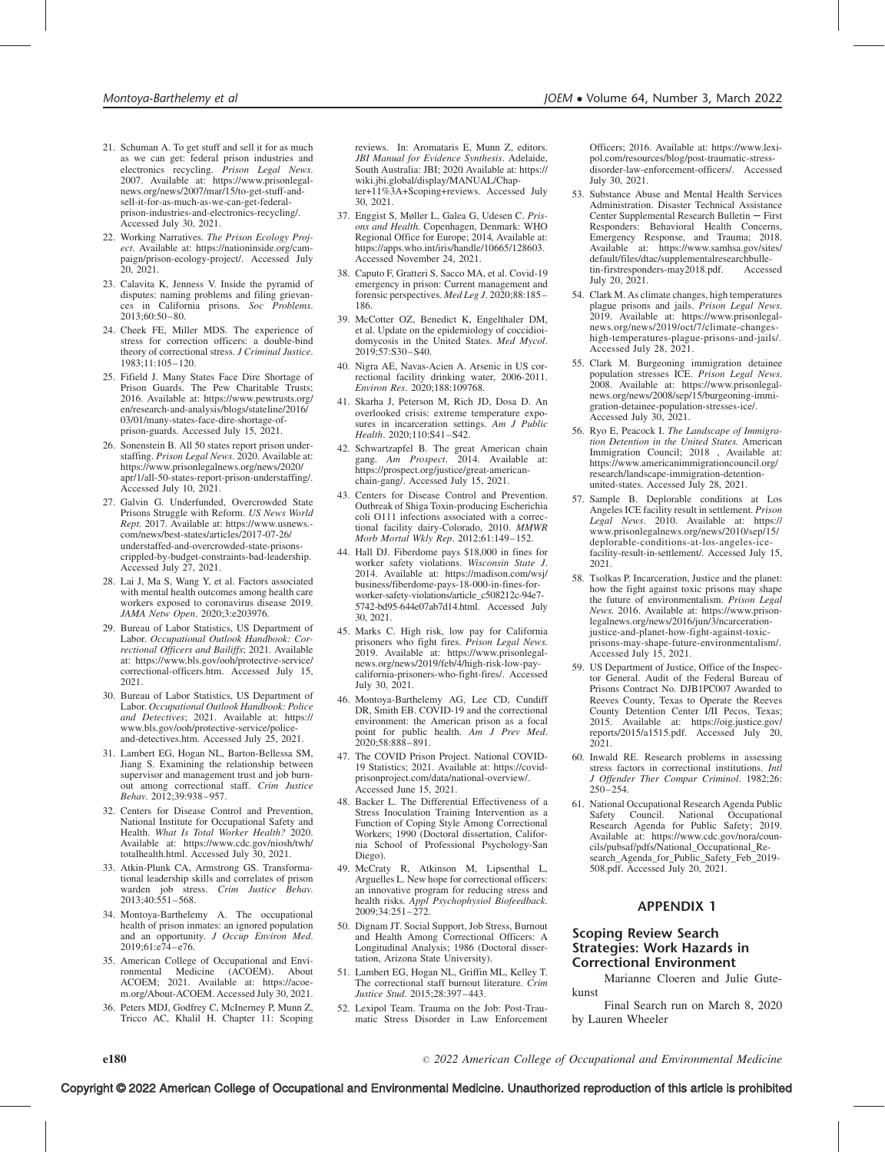- 21. Schuman A. To get stuff and sell it for as much as we can get: federal prison industries and electronics recycling. Prison Legal News.<br>2007. Available at: [https://www.prisonlegal](https://www.prisonlegalnews.org/news/2007/mar/15/to-get-stuff-and-sell-it-for-as-much-as-we-can-get-federal-prison-industries-and-electronics-recycling/)[news.org/news/2007/mar/15/to-get-stuff-and](https://www.prisonlegalnews.org/news/2007/mar/15/to-get-stuff-and-sell-it-for-as-much-as-we-can-get-federal-prison-industries-and-electronics-recycling/)[sell-it-for-as-much-as-we-can-get-federal](https://www.prisonlegalnews.org/news/2007/mar/15/to-get-stuff-and-sell-it-for-as-much-as-we-can-get-federal-prison-industries-and-electronics-recycling/)[prison-industries-and-electronics-recycling/](https://www.prisonlegalnews.org/news/2007/mar/15/to-get-stuff-and-sell-it-for-as-much-as-we-can-get-federal-prison-industries-and-electronics-recycling/). Accessed July 30, 2021.
- 22. Working Narratives. The Prison Ecology Project. Available at: [https://nationinside.org/cam](https://nationinside.org/campaign/prison-ecology-project/)[paign/prison-ecology-project/. Accessed July](https://nationinside.org/campaign/prison-ecology-project/) [20, 2021.](https://nationinside.org/campaign/prison-ecology-project/)
- 23. Calavita K, Jenness V. Inside the pyramid of disputes: naming problems and filing grievances in California prisons. Soc Problems. 2013;60:50–80.
- 24. Cheek FE, Miller MDS. The experience of stress for correction officers: a double-bind theory of correctional stress. J Criminal Justice. 1983;11:105–120.
- 25. Fifield J. Many States Face Dire Shortage of Prison Guards. The Pew Charitable Trusts; 2016. Available at: [https://www.pewtrusts.org/](https://www.pewtrusts.org/en/research-and-analysis/blogs/stateline/2016/03/01/many-states-face-dire-shortage-of-prison-guards) [en/research-and-analysis/blogs/stateline/2016/](https://www.pewtrusts.org/en/research-and-analysis/blogs/stateline/2016/03/01/many-states-face-dire-shortage-of-prison-guards) [03/01/many-states-face-dire-shortage-of](https://www.pewtrusts.org/en/research-and-analysis/blogs/stateline/2016/03/01/many-states-face-dire-shortage-of-prison-guards)[prison-guards. Accessed July 15, 2021.](https://www.pewtrusts.org/en/research-and-analysis/blogs/stateline/2016/03/01/many-states-face-dire-shortage-of-prison-guards)
- 26. Sonenstein B. All 50 states report prison understaffing. Prison Legal News. 2020. Available at: [https://www.prisonlegalnews.org/news/2020/](https://www.prisonlegalnews.org/news/2020/apr/1/all-50-states-report-prison-understaffing/) [apr/1/all-50-states-report-prison-understaffing/](https://www.prisonlegalnews.org/news/2020/apr/1/all-50-states-report-prison-understaffing/). Accessed July 10, 2021.
- 27. Galvin G. Underfunded, Overcrowded State Prisons Struggle with Reform. US News World Rept. 2017. Available at: [https://www.usnews.](https://www.usnews.com/news/best-states/articles/2017-07-26/understaffed-and-overcrowded-state-prisons-crippled-by-budget-constraints-bad-leadership) [com/news/best-states/articles/2017-07-26/](https://www.usnews.com/news/best-states/articles/2017-07-26/understaffed-and-overcrowded-state-prisons-crippled-by-budget-constraints-bad-leadership) [understaffed-and-overcrowded-state-prisons](https://www.usnews.com/news/best-states/articles/2017-07-26/understaffed-and-overcrowded-state-prisons-crippled-by-budget-constraints-bad-leadership)[crippled-by-budget-constraints-bad-leadership.](https://www.usnews.com/news/best-states/articles/2017-07-26/understaffed-and-overcrowded-state-prisons-crippled-by-budget-constraints-bad-leadership) [Accessed July 27, 2021.](https://www.usnews.com/news/best-states/articles/2017-07-26/understaffed-and-overcrowded-state-prisons-crippled-by-budget-constraints-bad-leadership)
- 28. Lai J, Ma S, Wang Y, et al. Factors associated with mental health outcomes among health care workers exposed to coronavirus disease 2019. JAMA Netw Open. 2020;3:e203976.
- 29. Bureau of Labor Statistics, US Department of Labor. Occupational Outlook Handbook: Correctional Officers and Bailiffs; 2021. Available at: [https://www.bls.gov/ooh/protective-service/](https://www.bls.gov/ooh/protective-service/correctional-officers.htm) [correctional-officers.htm. Accessed July 15,](https://www.bls.gov/ooh/protective-service/correctional-officers.htm) [2021.](https://www.bls.gov/ooh/protective-service/correctional-officers.htm)
- 30. Bureau of Labor Statistics, US Department of Labor. Occupational Outlook Handbook: Police and Detectives; 2021. Available at: [https://](https://www.bls.gov/ooh/protective-service/police-and-detectives.htm) [www.bls.gov/ooh/protective-service/police](https://www.bls.gov/ooh/protective-service/police-and-detectives.htm)[and-detectives.htm. Accessed July 25, 2021.](https://www.bls.gov/ooh/protective-service/police-and-detectives.htm)
- 31. Lambert EG, Hogan NL, Barton-Bellessa SM, Jiang S. Examining the relationship between supervisor and management trust and job burnout among correctional staff. Crim Justice Behav. 2012;39:938–957.
- 32. Centers for Disease Control and Prevention, National Institute for Occupational Safety and Health. What Is Total Worker Health? 2020. Available at: [https://www.cdc.gov/niosh/twh/](https://www.cdc.gov/niosh/twh/totalhealth.html) [totalhealth.html. Accessed July 30, 2021.](https://www.cdc.gov/niosh/twh/totalhealth.html)
- 33. Atkin-Plunk CA, Armstrong GS. Transformational leadership skills and correlates of prison warden job stress. Crim Justice Behav. 2013;40:551–568.
- 34. Montoya-Barthelemy A. The occupational health of prison inmates: an ignored population and an opportunity. J Occup Environ Med. 2019;61:e74–e76.
- 35. American College of Occupational and Environmental Medicine ACOEM; 2021. Available at: [https://acoe](https://acoem.org/About-ACOEM)[m.org/About-ACOEM. Accessed July 30, 2021.](https://acoem.org/About-ACOEM)
- 36. Peters MDJ, Godfrey C, McInerney P, Munn Z, Tricco AC, Khalil H. Chapter 11: Scoping

reviews. In: Aromataris E, Munn Z, editors. JBI Manual for Evidence Synthesis. Adelaide, South Australia: JBI; 2020. Available at: [https://](https://wiki.jbi.global/display/MANUAL/Chapter+11%253A+Scoping+reviews) [wiki.jbi.global/display/MANUAL/Chap](https://wiki.jbi.global/display/MANUAL/Chapter+11%253A+Scoping+reviews)[ter+11%3A+Scoping+reviews](https://wiki.jbi.global/display/MANUAL/Chapter+11%253A+Scoping+reviews). Accessed July 30, 2021.

- 37. Enggist S, Møller L, Galea G, Udesen C. Prisons and Health. Copenhagen, Denmark: WHO Regional Office for Europe; 2014, Available at: [https://apps.who.int/iris/handle/10665/128603.](https://apps.who.int/iris/handle/10665/128603) Accessed November 24, 2021.
- 38. Caputo F, Gratteri S, Sacco MA, et al. Covid-19 emergency in prison: Current management and forensic perspectives. Med Leg J. 2020;88:185– 186.
- 39. McCotter OZ, Benedict K, Engelthaler DM, et al. Update on the epidemiology of coccidioidomycosis in the United States. Med Mycol. 2019;57:S30–S40.
- 40. Nigra AE, Navas-Acien A. Arsenic in US correctional facility drinking water, 2006-2011. Environ Res. 2020;188:109768.
- 41. Skarha J, Peterson M, Rich JD, Dosa D. An overlooked crisis: extreme temperature exposures in incarceration settings. Am J Public Health. 2020;110:S41–S42.
- 42. Schwartzapfel B. The great American chain gang. Am Prospect. 2014. Available at: [https://prospect.org/justice/great-american](https://prospect.org/justice/great-american-chain-gang/)[chain-gang/.](https://prospect.org/justice/great-american-chain-gang/) Accessed July 15, 2021.
- 43. Centers for Disease Control and Prevention. Outbreak of Shiga Toxin-producing Escherichia coli O111 infections associated with a correctional facility dairy-Colorado, 2010. MMWR Morb Mortal Wkly Rep. 2012;61:149–152.
- 44. Hall DJ. Fiberdome pays \$18,000 in fines for worker safety violations. Wisconsin State J. 2014. Available at: [https://madison.com/wsj/](https://madison.com/wsj/business/fiberdome-pays-18-000-in-fines-for-worker-safety-violations/article_c508212c-94e7-5742-bd95-644e07ab7d14.html) [business/fiberdome-pays-18-000-in-fines-for](https://madison.com/wsj/business/fiberdome-pays-18-000-in-fines-for-worker-safety-violations/article_c508212c-94e7-5742-bd95-644e07ab7d14.html)[worker-safety-violations/article\\_c508212c-94e7-](https://madison.com/wsj/business/fiberdome-pays-18-000-in-fines-for-worker-safety-violations/article_c508212c-94e7-5742-bd95-644e07ab7d14.html) [5742-bd95-644e07ab7d14.html.](https://madison.com/wsj/business/fiberdome-pays-18-000-in-fines-for-worker-safety-violations/article_c508212c-94e7-5742-bd95-644e07ab7d14.html) Accessed July 30, 2021.
- 45. Marks C. High risk, low pay for California prisoners who fight fires. Prison Legal News. 2019. Available at: [https://www.prisonlegal](https://www.prisonlegalnews.org/news/2019/feb/4/high-risk-low-pay-california-prisoners-who-fight-fires/)[news.org/news/2019/feb/4/high-risk-low-pay](https://www.prisonlegalnews.org/news/2019/feb/4/high-risk-low-pay-california-prisoners-who-fight-fires/)[california-prisoners-who-fight-fires/.](https://www.prisonlegalnews.org/news/2019/feb/4/high-risk-low-pay-california-prisoners-who-fight-fires/) Accessed July 30, 2021.
- 46. Montoya-Barthelemy AG, Lee CD, Cundiff DR, Smith EB. COVID-19 and the correctional environment: the American prison as a focal point for public health. Am J Prev Med.<br>2020;58:888-891.
- 47. The COVID Prison Project. National COVID-19 Statistics; 2021. Available at: [https://covid](https://covidprisonproject.com/data/national-overview/)[prisonproject.com/data/national-overview/.](https://covidprisonproject.com/data/national-overview/) [Accessed June 15, 2021.](https://covidprisonproject.com/data/national-overview/)
- 48. Backer L. The Differential Effectiveness of a Stress Inoculation Training Intervention as a Function of Coping Style Among Correctional Workers; 1990 (Doctoral dissertation, California School of Professional Psychology-San Diego).
- 49. McCraty R, Atkinson M, Lipsenthal L, Arguelles L. New hope for correctional officers: an innovative program for reducing stress and health risks. Appl Psychophysiol Biofeedback. 2009;34:251–272.
- 50. Dignam JT. Social Support, Job Stress, Burnout and Health Among Correctional Officers: A Longitudinal Analysis; 1986 (Doctoral dissertation, Arizona State University).
- 51. Lambert EG, Hogan NL, Griffin ML, Kelley T. The correctional staff burnout literature. Crim Justice Stud. 2015;28:397–443.
- 52. Lexipol Team. Trauma on the Job: Post-Traumatic Stress Disorder in Law Enforcement

Officers; 2016. Available at: [https://www.lexi](https://www.lexipol.com/resources/blog/post-traumatic-stress-disorder-law-enforcement-officers/)[pol.com/resources/blog/post-traumatic-stress](https://www.lexipol.com/resources/blog/post-traumatic-stress-disorder-law-enforcement-officers/)[disorder-law-enforcement-officers/. Accessed](https://www.lexipol.com/resources/blog/post-traumatic-stress-disorder-law-enforcement-officers/) [July 30, 2021.](https://www.lexipol.com/resources/blog/post-traumatic-stress-disorder-law-enforcement-officers/)

- 53. Substance Abuse and Mental Health Services Administration. Disaster Technical Assistance Center Supplemental Research Bulletin  $-$  First Responders: Behavioral Health Concerns, Emergency Response, and Trauma; 2018. Available at: [https://www.samhsa.gov/sites/](https://www.samhsa.gov/sites/default/files/dtac/supplementalresearchbulletin-firstresponders-may2018.pdf) [default/files/dtac/supplementalresearchbulle](https://www.samhsa.gov/sites/default/files/dtac/supplementalresearchbulletin-firstresponders-may2018.pdf)[tin-firstresponders-may2018.pdf. Accessed](https://www.samhsa.gov/sites/default/files/dtac/supplementalresearchbulletin-firstresponders-may2018.pdf) [July 20, 2021.](https://www.samhsa.gov/sites/default/files/dtac/supplementalresearchbulletin-firstresponders-may2018.pdf)
- 54. Clark M. As climate changes, high temperatures plague prisons and jails. Prison Legal News. 2019. Available at: [https://www.prisonlegal](https://www.prisonlegalnews.org/news/2019/oct/7/climate-changes-high-temperatures-plague-prisons-and-jails/)[news.org/news/2019/oct/7/climate-changes](https://www.prisonlegalnews.org/news/2019/oct/7/climate-changes-high-temperatures-plague-prisons-and-jails/)[high-temperatures-plague-prisons-and-jails/](https://www.prisonlegalnews.org/news/2019/oct/7/climate-changes-high-temperatures-plague-prisons-and-jails/). Accessed July 28, 2021.
- 55. Clark M. Burgeoning immigration detainee population stresses ICE. Prison Legal News. 2008. Available at: [https://www.prisonlegal](https://www.prisonlegalnews.org/news/2008/sep/15/burgeoning-immigration-detainee-population-stresses-ice/)[news.org/news/2008/sep/15/burgeoning-immi](https://www.prisonlegalnews.org/news/2008/sep/15/burgeoning-immigration-detainee-population-stresses-ice/)[gration-detainee-population-stresses-ice/.](https://www.prisonlegalnews.org/news/2008/sep/15/burgeoning-immigration-detainee-population-stresses-ice/) Accessed July 30, 2021.
- 56. Ryo E, Peacock I. The Landscape of Immigration Detention in the United States. American Immigration Council; 2018 , Available at: [https://www.americanimmigrationcouncil.org/](https://www.americanimmigrationcouncil.org/research/landscape-immigration-detention-united-states) [research/landscape-immigration-detention](https://www.americanimmigrationcouncil.org/research/landscape-immigration-detention-united-states)[united-states](https://www.americanimmigrationcouncil.org/research/landscape-immigration-detention-united-states). Accessed July 28, 2021.
- 57. Sample B. Deplorable conditions at Los Angeles ICE facility result in settlement. Prison Legal News. 2010. Available at: [https://](https://www.prisonlegalnews.org/news/2010/sep/15/deplorable-conditions-at-los-angeles-ice-facility-result-in-settlement/) [www.prisonlegalnews.org/news/2010/sep/15/](https://www.prisonlegalnews.org/news/2010/sep/15/deplorable-conditions-at-los-angeles-ice-facility-result-in-settlement/) [deplorable-conditions-at-los-angeles-ice](https://www.prisonlegalnews.org/news/2010/sep/15/deplorable-conditions-at-los-angeles-ice-facility-result-in-settlement/)[facility-result-in-settlement/](https://www.prisonlegalnews.org/news/2010/sep/15/deplorable-conditions-at-los-angeles-ice-facility-result-in-settlement/). Accessed July 15, 2021.
- 58. Tsolkas P. Incarceration, Justice and the planet: how the fight against toxic prisons may shape the future of environmentalism. Prison Legal News. 2016. Available at: [https://www.prison](https://www.prisonlegalnews.org/news/2016/jun/3/ncarceration-justice-and-planet-how-fight-against-toxic-prisons-may-shape-future-environmentalism/)[legalnews.org/news/2016/jun/3/ncarceration](https://www.prisonlegalnews.org/news/2016/jun/3/ncarceration-justice-and-planet-how-fight-against-toxic-prisons-may-shape-future-environmentalism/)[justice-and-planet-how-fight-against-toxic](https://www.prisonlegalnews.org/news/2016/jun/3/ncarceration-justice-and-planet-how-fight-against-toxic-prisons-may-shape-future-environmentalism/)[prisons-may-shape-future-environmentalism/](https://www.prisonlegalnews.org/news/2016/jun/3/ncarceration-justice-and-planet-how-fight-against-toxic-prisons-may-shape-future-environmentalism/). Accessed July 15, 2021.
- 59. US Department of Justice, Office of the Inspector General. Audit of the Federal Bureau of Prisons Contract No. DJB1PC007 Awarded to Reeves County, Texas to Operate the Reeves County Detention Center I/II Pecos, Texas; 2015. Available at: [https://oig.justice.gov/](https://oig.justice.gov/reports/2015/a1515.pdf) [reports/2015/a1515.pdf. Accessed July 20,](https://oig.justice.gov/reports/2015/a1515.pdf) [2021.](https://oig.justice.gov/reports/2015/a1515.pdf)
- 60. Inwald RE. Research problems in assessing stress factors in correctional institutions. Intl J Offender Ther Compar Criminol. 1982;26: 250–254.
- 61. National Occupational Research Agenda Public Safety Council. National Occupational Research Agenda for Public Safety; 2019. Available at: [https://www.cdc.gov/nora/coun](https://www.cdc.gov/nora/councils/pubsaf/pdfs/National_Occupational_Research_Agenda_for_Public_Safety_Feb_2019-508.pdf)[cils/pubsaf/pdfs/National\\_Occupational\\_Re](https://www.cdc.gov/nora/councils/pubsaf/pdfs/National_Occupational_Research_Agenda_for_Public_Safety_Feb_2019-508.pdf)[search\\_Agenda\\_for\\_Public\\_Safety\\_Feb\\_2019-](https://www.cdc.gov/nora/councils/pubsaf/pdfs/National_Occupational_Research_Agenda_for_Public_Safety_Feb_2019-508.pdf) [508.pdf. Accessed July 20, 2021.](https://www.cdc.gov/nora/councils/pubsaf/pdfs/National_Occupational_Research_Agenda_for_Public_Safety_Feb_2019-508.pdf)

# APPENDIX 1

# Scoping Review Search Strategies: Work Hazards in Correctional Environment

Marianne Cloeren and Julie Gutekunst

Final Search run on March 8, 2020 by Lauren Wheeler

2022 American College of Occupational and Environmental Medicine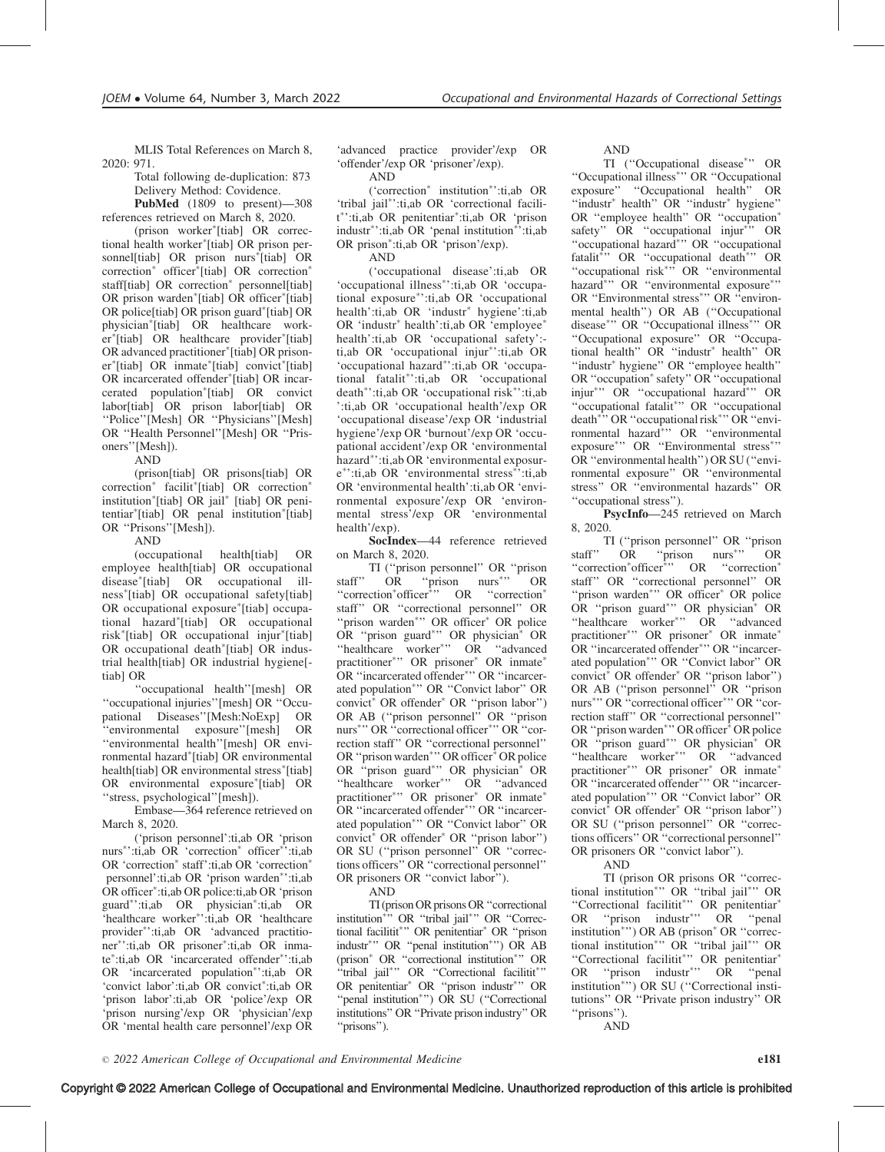MLIS Total References on March 8, 2020: 971.

Total following de-duplication: 873 Delivery Method: Covidence.

PubMed (1809 to present)—308 references retrieved on March 8, 2020.

(prison worker [tiab] OR correctional health worker [tiab] OR prison personnel[tiab] OR prison nurs<sup>\*</sup>[tiab] OR correction<sup>\*</sup> officer<sup>\*</sup>[tiab] OR correction<sup>\*</sup> staff[tiab] OR correction<sup>\*</sup> personnel[tiab] OR prison warden<sup>\*</sup>[tiab] OR officer<sup>\*</sup>[tiab] OR police[tiab] OR prison guard [tiab] OR physician [tiab] OR healthcare worker\*[tiab] OR healthcare provider\*[tiab] OR advanced practitioner [tiab] OR prisoner<sup>\*</sup>[tiab] OR inmate<sup>\*</sup>[tiab] convict<sup>\*</sup>[tiab] OR incarcerated offender<sup>\*</sup>[tiab] OR incarcerated population<sup>\*</sup>[tiab] OR convict labor[tiab] OR prison labor[tiab] OR ''Police''[Mesh] OR ''Physicians''[Mesh] OR ''Health Personnel''[Mesh] OR ''Prisoners''[Mesh]).

AND

(prison[tiab] OR prisons[tiab] OR correction<sup>\*</sup> facilit<sup>\*</sup>[tiab] OR correction<sup>\*</sup> institution<sup>\*</sup>[tiab] OR jail<sup>\*</sup> [tiab] OR penitentiar [tiab] OR penal institution [tiab] OR ''Prisons''[Mesh]).

#### AND

(occupational health[tiab] OR employee health[tiab] OR occupational disease [tiab] OR occupational illness [tiab] OR occupational safety[tiab] OR occupational exposure<sup>\*</sup>[tiab] occupational hazard [tiab] OR occupational risk [tiab] OR occupational injur [tiab] OR occupational death<sup>\*</sup>[tiab] OR industrial health[tiab] OR industrial hygiene[ tiab] OR

''occupational health''[mesh] OR ''occupational injuries''[mesh] OR ''Occupational Diseases''[Mesh:NoExp] OR ''environmental exposure''[mesh] OR ''environmental health''[mesh] OR environmental hazard [tiab] OR environmental health[tiab] OR environmental stress<sup>\*</sup>[tiab] OR environmental exposure<sup>\*</sup>[tiab] OR ''stress, psychological''[mesh]).

Embase—364 reference retrieved on March 8, 2020.

('prison personnel':ti,ab OR 'prison nurs<sup>\*</sup>':ti,ab OR 'correction<sup>\*</sup> officer<sup>\*</sup>':ti,ab OR 'correction<sup>\*</sup> staff':ti,ab OR 'correction<sup>\*</sup> personnel':ti,ab OR 'prison warden\*':ti,ab OR officer :ti,ab OR police:ti,ab OR 'prison guard\*':ti,ab OR physician\*:ti,ab OR 'healthcare worker\*':ti,ab OR 'healthcare provider\*':ti,ab OR 'advanced practitioner ':ti,ab OR prisoner :ti,ab OR inmate :ti,ab OR 'incarcerated offender ':ti,ab OR 'incarcerated population<sup>\*</sup>':ti,ab OR 'convict labor':ti,ab OR convict<sup>\*</sup>:ti,ab OR 'prison labor':ti,ab OR 'police'/exp OR 'prison nursing'/exp OR 'physician'/exp OR 'mental health care personnel'/exp OR

'advanced practice provider'/exp OR 'offender'/exp OR 'prisoner'/exp).

AND

('correction<sup>\*</sup> institution<sup>\*</sup>':ti,ab OR 'tribal jail\*':ti,ab OR 'correctional facilit\*':ti,ab OR penitentiar\*:ti,ab OR 'prison industr<sup>\*</sup>':ti,ab OR 'penal institution<sup>\*</sup>':ti,ab OR prison\*:ti,ab OR 'prison'/exp).

AND

('occupational disease':ti,ab OR 'occupational illness<sup>\*</sup>':ti,ab OR 'occupational exposure\*':ti,ab OR 'occupational health':ti,ab OR 'industr<sup>\*</sup> hygiene':ti,ab OR 'industr<sup>\*</sup> health':ti,ab OR 'employee<sup>\*</sup> health':ti,ab OR 'occupational safety': ti,ab OR 'occupational injur\*':ti,ab OR 'occupational hazard\*':ti,ab OR 'occupational fatalit ':ti,ab OR 'occupational death\*':ti,ab OR 'occupational risk\*':ti,ab ':ti,ab OR 'occupational health'/exp OR 'occupational disease'/exp OR 'industrial hygiene'/exp OR 'burnout'/exp OR 'occupational accident'/exp OR 'environmental hazard\*':ti,ab OR 'environmental exposure\*':ti,ab OR 'environmental stress<sup>\*</sup>':ti,ab OR 'environmental health':ti,ab OR 'environmental exposure'/exp OR 'environmental stress'/exp OR 'environmental health'/exp).

SocIndex—44 reference retrieved on March 8, 2020.

TI ("prison personnel" OR "prison<br>staff" OR "prison nurs", OR OR "prison nurs" '' OR "correction\*officer<sup>\*</sup>" OR "correction\* staff'' OR ''correctional personnel'' OR "prison warden\*" OR officer\* OR police OR "prison guard<sup>\*</sup>" OR physician<sup>\*</sup> OR "healthcare worker"<sup>"</sup> OR "advanced practitioner\*" OR prisoner\* OR inmate\* OR "incarcerated offender<sup>\*</sup>" OR "incarcerated population\*" OR "Convict labor" OR convict<sup>\*</sup> OR offender<sup>\*</sup> OR "prison labor") OR AB (''prison personnel'' OR ''prison nurs<sup>\*</sup>" OR "correctional officer<sup>\*</sup>" OR "correction staff'' OR ''correctional personnel'' OR "prison warden\*" OR officer<sup>\*</sup> OR police OR "prison guard<sup>\*</sup>" OR physician<sup>\*</sup> OR "healthcare worker\*" OR "advanced practitioner\*" OR prisoner\* OR inmate\* OR "incarcerated offender\*" OR "incarcerated population<sup>\*</sup>" OR "Convict labor" OR convict<sup>\*</sup> OR offender<sup>\*</sup> OR "prison labor") OR SU (''prison personnel'' OR ''corrections officers'' OR ''correctional personnel'' OR prisoners OR ''convict labor'').

AND

TI (prison OR prisons OR "correctional institution<sup>\*\*</sup>" OR "tribal jail<sup>\*</sup>" OR "Correctional facilitit<sup>\*</sup>" OR penitentiar<sup>\*</sup> OR "prison industr<sup>\*</sup>" OR "penal institution<sup>\*</sup>") OR AB (prison\* OR "correctional institution\*" OR "tribal jail\*" OR "Correctional facilitit\*" OR penitentiar<sup>\*</sup> OR "prison industr<sup>\*</sup>" OR "penal institution<sup>\*</sup>") OR SU ("Correctional institutions'' OR ''Private prison industry'' OR ''prisons'').

AND

TI ("Occupational disease"" OR ''Occupational illness '' OR ''Occupational exposure'' ''Occupational health'' OR "industr $*$  health" OR "industr $*$  hygiene" OR ''employee health'' OR ''occupation safety" OR "occupational injur<sup>\*</sup>" OR "occupational hazard\*" OR "occupational fatalit<sup>\*</sup>" OR "occupational death<sup>\*</sup>" OR "occupational risk<sup>\*\*</sup>, OR "environmental hazard\*" OR "environmental exposure\*" OR "Environmental stress<sup>\*</sup>" OR "environmental health'') OR AB (''Occupational disease\*" OR "Occupational illness\*" OR ''Occupational exposure'' OR ''Occupational health" OR "industr<sup>\*</sup> health" OR "industr<sup>\*</sup> hygiene" OR "employee health" OR "occupation" safety" OR "occupational injur\*" OR "occupational hazard\*" OR "occupational fatalit<sup>\*</sup>" OR "occupational death<sup>\*\*</sup>' OR "occupational risk<sup>\*</sup>'' OR "environmental hazard\*" OR "environmental exposure\*" OR "Environmental stress\*" OR ''environmental health'') OR SU (''environmental exposure'' OR ''environmental stress'' OR ''environmental hazards'' OR ''occupational stress'').

PsycInfo—245 retrieved on March 8, 2020.

TI (''prison personnel'' OR ''prison staff" OR "prison nurs<sup>\*\*</sup>" '' OR "correction \* officer<sup>\*</sup>" OR "correction \* staff'' OR ''correctional personnel'' OR "prison warden\*" OR officer\* OR police OR "prison guard<sup>\*</sup>" OR physician<sup>\*</sup> OR "healthcare worker\*" OR "advanced practitioner\*" OR prisoner\* OR inmate\* OR "incarcerated offender<sup>\*</sup>" OR "incarcerated population\*" OR "Convict labor" OR convict<sup>\*</sup> OR offender<sup>\*</sup> OR "prison labor") OR AB (''prison personnel'' OR ''prison nurs<sup>\*</sup>" OR "correctional officer<sup>\*</sup>" OR "correction staff'' OR ''correctional personnel'' OR "prison warden"" OR officer<sup>\*</sup> OR police OR "prison guard<sup>\*</sup>" OR physician<sup>\*</sup> OR "healthcare worker"" OR "advanced practitioner\*" OR prisoner\* OR inmate\* OR "incarcerated offender\*" OR "incarcerated population<sup>\*</sup>" OR "Convict labor" OR convict\* OR offender\* OR "prison labor") OR SU (''prison personnel'' OR ''corrections officers'' OR ''correctional personnel'' OR prisoners OR ''convict labor'').

AND

TI (prison OR prisons OR ''correctional institution<sup>\*</sup>" OR "tribal jail<sup>\*</sup>" OR "Correctional facilitit" OR penitentiar OR "prison industr<sup>\*</sup>" OR "penal institution\*") OR AB (prison\* OR "correctional institution<sup>\*</sup>" OR "tribal jail<sup>\*</sup>" OR "Correctional facilitit<sup>\*</sup>" OR penitentiar<sup>\*</sup> OR "prison industr<sup>\*</sup>" OR "penal institution\*") OR SU ("Correctional institutions'' OR ''Private prison industry'' OR ''prisons'').

AND